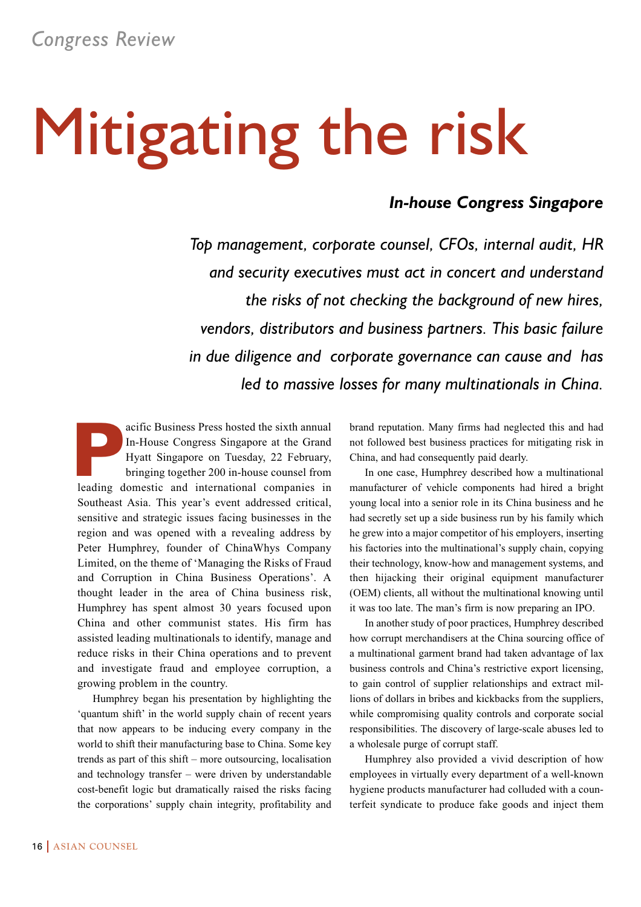# Mitigating the risk

### *In-house Congress Singapore*

*Top management, corporate counsel, CFOs, internal audit, HR and security executives must act in concert and understand the risks of not checking the background of new hires, vendors, distributors and business partners. This basic failure in due diligence and corporate governance can cause and has led to massive losses for many multinationals in China.*

acific Business Press hosted the sixth annual<br>In-House Congress Singapore at the Grand<br>Hyatt Singapore on Tuesday, 22 February,<br>bringing together 200 in-house counsel from<br>leading domestic and international companies in In-House Congress Singapore at the Grand Hyatt Singapore on Tuesday, 22 February, bringing together 200 in-house counsel from leading domestic and international companies in Southeast Asia. This year's event addressed critical, sensitive and strategic issues facing businesses in the region and was opened with a revealing address by Peter Humphrey, founder of ChinaWhys Company Limited, on the theme of 'Managing the Risks of Fraud and Corruption in China Business Operations'. A thought leader in the area of China business risk, Humphrey has spent almost 30 years focused upon China and other communist states. His firm has assisted leading multinationals to identify, manage and reduce risks in their China operations and to prevent and investigate fraud and employee corruption, a growing problem in the country.

Humphrey began his presentation by highlighting the 'quantum shift' in the world supply chain of recent years that now appears to be inducing every company in the world to shift their manufacturing base to China. Some key trends as part of this shift – more outsourcing, localisation and technology transfer – were driven by understandable cost-benefit logic but dramatically raised the risks facing the corporations' supply chain integrity, profitability and brand reputation. Many firms had neglected this and had not followed best business practices for mitigating risk in China, and had consequently paid dearly.

In one case, Humphrey described how a multinational manufacturer of vehicle components had hired a bright young local into a senior role in its China business and he had secretly set up a side business run by his family which he grew into a major competitor of his employers, inserting his factories into the multinational's supply chain, copying their technology, know-how and management systems, and then hijacking their original equipment manufacturer (OEM) clients, all without the multinational knowing until it was too late. The man's firm is now preparing an IPO.

In another study of poor practices, Humphrey described how corrupt merchandisers at the China sourcing office of a multinational garment brand had taken advantage of lax business controls and China's restrictive export licensing, to gain control of supplier relationships and extract millions of dollars in bribes and kickbacks from the suppliers, while compromising quality controls and corporate social responsibilities. The discovery of large-scale abuses led to a wholesale purge of corrupt staff.

Humphrey also provided a vivid description of how employees in virtually every department of a well-known hygiene products manufacturer had colluded with a counterfeit syndicate to produce fake goods and inject them